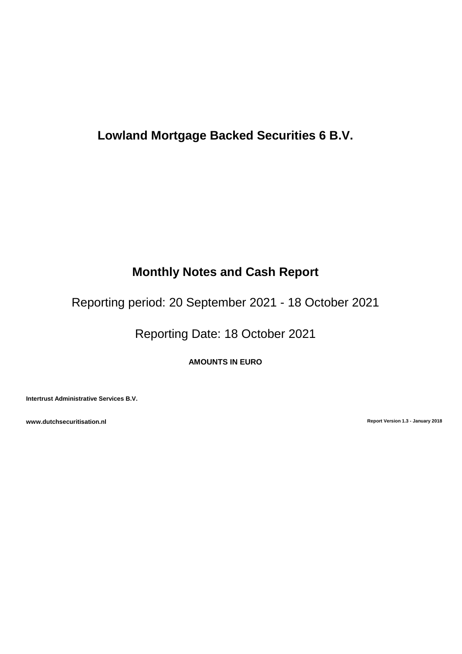# **Lowland Mortgage Backed Securities 6 B.V.**

# **Monthly Notes and Cash Report**

Reporting period: 20 September 2021 - 18 October 2021

Reporting Date: 18 October 2021

**AMOUNTS IN EURO**

**Intertrust Administrative Services B.V.**

**www.dutchsecuritisation.nl Report Version 1.3 - January 2018**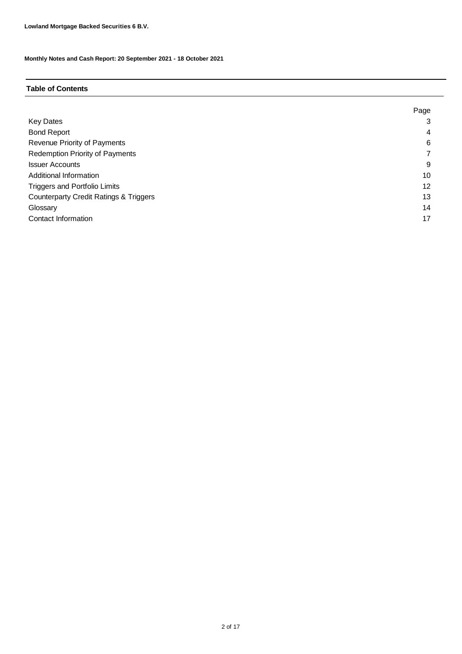#### **Table of Contents**

|                                                   | Page |
|---------------------------------------------------|------|
| <b>Key Dates</b>                                  |      |
| <b>Bond Report</b>                                | 4    |
| Revenue Priority of Payments                      | 6    |
| <b>Redemption Priority of Payments</b>            |      |
| <b>Issuer Accounts</b>                            | 9    |
| Additional Information                            | 10   |
| <b>Triggers and Portfolio Limits</b>              | 12   |
| <b>Counterparty Credit Ratings &amp; Triggers</b> | 13   |
| Glossary                                          | 14   |
| Contact Information                               | 17   |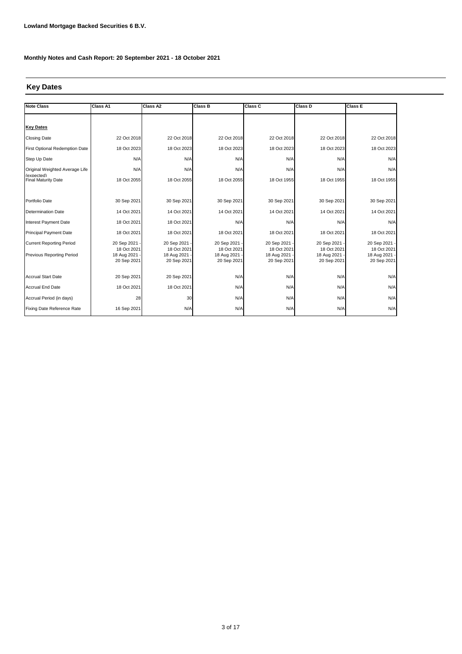## **Key Dates**

| <b>Note Class</b>                        | Class A1                   | Class A2                     | <b>Class B</b>               | Class C                    | Class D                      | Class E                      |
|------------------------------------------|----------------------------|------------------------------|------------------------------|----------------------------|------------------------------|------------------------------|
|                                          |                            |                              |                              |                            |                              |                              |
| <b>Key Dates</b>                         |                            |                              |                              |                            |                              |                              |
| <b>Closing Date</b>                      | 22 Oct 2018                | 22 Oct 2018                  | 22 Oct 2018                  | 22 Oct 2018                | 22 Oct 2018                  | 22 Oct 2018                  |
| First Optional Redemption Date           | 18 Oct 2023                | 18 Oct 2023                  | 18 Oct 2023                  | 18 Oct 2023                | 18 Oct 2023                  | 18 Oct 2023                  |
| Step Up Date                             | N/A                        | N/A                          | N/A                          | N/A                        | N/A                          | N/A                          |
| Original Weighted Average Life           | N/A                        | N/A                          | N/A                          | N/A                        | N/A                          | N/A                          |
| (expected)<br><b>Final Maturity Date</b> | 18 Oct 2055                | 18 Oct 2055                  | 18 Oct 2055                  | 18 Oct 1955                | 18 Oct 1955                  | 18 Oct 1955                  |
|                                          |                            |                              |                              |                            |                              |                              |
| Portfolio Date                           | 30 Sep 2021                | 30 Sep 2021                  | 30 Sep 2021                  | 30 Sep 2021                | 30 Sep 2021                  | 30 Sep 2021                  |
| <b>Determination Date</b>                | 14 Oct 2021                | 14 Oct 2021                  | 14 Oct 2021                  | 14 Oct 2021                | 14 Oct 2021                  | 14 Oct 2021                  |
| <b>Interest Payment Date</b>             | 18 Oct 2021                | 18 Oct 2021                  | N/A                          | N/A                        | N/A                          | N/A                          |
| <b>Principal Payment Date</b>            | 18 Oct 2021                | 18 Oct 2021                  | 18 Oct 2021                  | 18 Oct 2021                | 18 Oct 2021                  | 18 Oct 2021                  |
| <b>Current Reporting Period</b>          | 20 Sep 2021                | 20 Sep 2021 -                | 20 Sep 2021                  | 20 Sep 2021                | 20 Sep 2021 -                | 20 Sep 2021 -                |
| Previous Reporting Period                | 18 Oct 2021<br>18 Aug 2021 | 18 Oct 2021<br>18 Aug 2021 - | 18 Oct 2021<br>18 Aug 2021 - | 18 Oct 2021<br>18 Aug 2021 | 18 Oct 2021<br>18 Aug 2021 - | 18 Oct 2021<br>18 Aug 2021 - |
|                                          | 20 Sep 2021                | 20 Sep 2021                  | 20 Sep 2021                  | 20 Sep 2021                | 20 Sep 2021                  | 20 Sep 2021                  |
|                                          |                            |                              |                              |                            |                              |                              |
| <b>Accrual Start Date</b>                | 20 Sep 2021                | 20 Sep 2021                  | N/A                          | N/A                        | N/A                          | N/A                          |
| <b>Accrual End Date</b>                  | 18 Oct 2021                | 18 Oct 2021                  | N/A                          | N/A                        | N/A                          | N/A                          |
| Accrual Period (in days)                 | 28                         | 30                           | N/A                          | N/A                        | N/A                          | N/A                          |
| Fixing Date Reference Rate               | 16 Sep 2021                | N/A                          | N/A                          | N/A                        | N/A                          | N/A                          |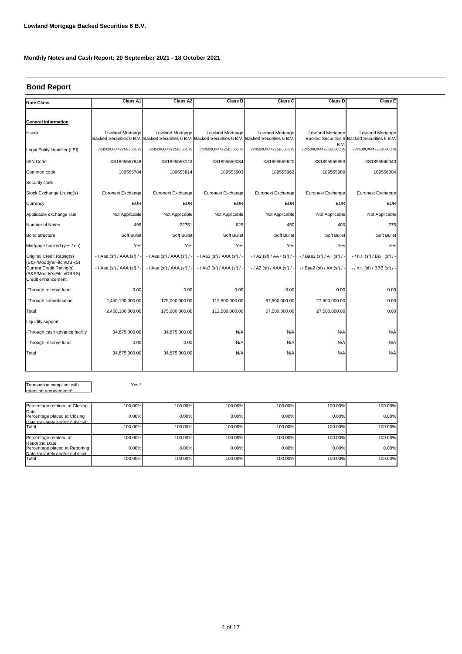#### **Bond Report**

| <b>Note Class</b>                                                                                             | Class A1                  | Class A2                  | Class B                                                                                                                        | Class C                      | Class D                     | <b>Class E</b>                                                          |
|---------------------------------------------------------------------------------------------------------------|---------------------------|---------------------------|--------------------------------------------------------------------------------------------------------------------------------|------------------------------|-----------------------------|-------------------------------------------------------------------------|
|                                                                                                               |                           |                           |                                                                                                                                |                              |                             |                                                                         |
| <b>General information</b>                                                                                    |                           |                           |                                                                                                                                |                              |                             |                                                                         |
| <b>Issuer</b>                                                                                                 | <b>Lowland Mortgage</b>   | Lowland Mortgage          | <b>Lowland Mortgage</b><br>Backed Securities 6 B.V. Backed Securities 6 B.V. Backed Securities 6 B.V. Backed Securities 6 B.V. | <b>Lowland Mortgage</b>      | <b>Lowland Mortgage</b>     | <b>Lowland Mortgage</b><br>Backed Securities 6 Backed Securities 6 B.V. |
| Legal Entity Identifier (LEI)                                                                                 | 724500QX447Z5BL66C79      | 724500QX447Z5BL66C79      | 724500QX447Z5BL66C79                                                                                                           | 724500QX447Z5BL66C79         | B.V<br>724500QX447Z5BL66C79 | 724500QX447Z5BL66C79                                                    |
| <b>ISIN Code</b>                                                                                              | XS1895557848              | XS1895558143              | XS1895559034                                                                                                                   | XS1895559620                 | XS1895559893                | XS1895560040                                                            |
| Common code                                                                                                   | 189555784                 | 189555814                 | 189555903                                                                                                                      | 189555962                    | 189555989                   | 189556004                                                               |
| Security code                                                                                                 |                           |                           |                                                                                                                                |                              |                             |                                                                         |
| Stock Exchange Listing(s)                                                                                     | Euronext Exchange         | Euronext Exchange         | Euronext Exchange                                                                                                              | Euronext Exchange            | Euronext Exchange           | Euronext Exchange                                                       |
| Currency                                                                                                      | <b>EUR</b>                | <b>EUR</b>                | <b>EUR</b>                                                                                                                     | <b>EUR</b>                   | <b>EUR</b>                  | <b>EUR</b>                                                              |
| Applicable exchange rate                                                                                      | Not Applicable            | Not Applicable            | Not Applicable                                                                                                                 | Not Applicable               | Not Applicable              | Not Applicable                                                          |
| Number of Notes                                                                                               | 499                       | 22751                     | 625                                                                                                                            | 450                          | 400                         | 275                                                                     |
| <b>Bond structure</b>                                                                                         | Soft Bullet               | Soft Bullet               | Soft Bullet                                                                                                                    | Soft Bullet                  | Soft Bullet                 | Soft Bullet                                                             |
| Mortgage backed (yes / no)                                                                                    | Yes                       | Yes                       | Yes                                                                                                                            | Yes                          | Yes                         | Yes                                                                     |
| Original Credit Rating(s)                                                                                     | - / Aaa (sf) / AAA (sf) / | - / Aaa (sf) / AAA (sf) / | -/ Aa3 (sf) / AAA (sf) / -                                                                                                     | $-$ / A2 (sf) / AA+ (sf) / - | $-$ / Baa2 (sf) / A+ (sf) / | $-$ / n.r. (sf) / BB+ (sf) / -                                          |
| (S&P/Moody's/Fitch/DBRS)<br><b>Current Credit Rating(s)</b><br>(S&P/Moody's/Fitch/DBRS)<br>Credit enhancement | - / Aaa (sf) / AAA (sf) / | - / Aaa (sf) / AAA (sf) / | $-$ / Aa3 (sf) / AAA (sf) / -                                                                                                  | $-$ / A2 (sf) / AAA (sf) / - | - / Baa2 (sf) / AA (sf) /   | - / n.r. (sf) / BBB (sf) / -                                            |
| -Through reserve fund                                                                                         | 0.00                      | 0.00                      | 0.00                                                                                                                           | 0.00                         | 0.00                        | 0.00                                                                    |
| -Through subordination                                                                                        | 2,450,100,000.00          | 175,000,000.00            | 112,500,000.00                                                                                                                 | 67,500,000.00                | 27,500,000.00               | 0.00                                                                    |
| Total                                                                                                         | 2,450,100,000.00          | 175,000,000.00            | 112,500,000.00                                                                                                                 | 67,500,000.00                | 27,500,000.00               | 0.00                                                                    |
| Liquidity support                                                                                             |                           |                           |                                                                                                                                |                              |                             |                                                                         |
| -Through cash advance facility                                                                                | 34,875,000.00             | 34,875,000.00             | N/A                                                                                                                            | N/A                          | N/A                         | N/A                                                                     |
| -Through reserve fund                                                                                         | 0.00                      | 0.00                      | N/A                                                                                                                            | N/A                          | N/A                         | N/A                                                                     |
| Total                                                                                                         | 34,875,000.00             | 34,875,000.00             | N/A                                                                                                                            | N/A                          | N/A                         | N/A                                                                     |
|                                                                                                               |                           |                           |                                                                                                                                |                              |                             |                                                                         |

Transaction compliant with retention requirements\*

Yes \*

| Percentage retained at Closing                                                       | 100.00% | 100.00% | 100.00% | 100.00% | 100.00% | 100.00% |
|--------------------------------------------------------------------------------------|---------|---------|---------|---------|---------|---------|
| Date<br>Percentage placed at Closing<br>Date (privately and/or publicly)             | 0.00%   | 0.00%   | 0.00%   | 0.00%   | 0.00%   | 0.00%   |
| Total                                                                                | 100.00% | 100.00% | 100.00% | 100.00% | 100.00% | 100.00% |
| Percentage retained at                                                               | 100.00% | 100.00% | 100.00% | 100.00% | 100.00% | 100.00% |
| Reporting Date<br>Percentage placed at Reporting<br>Date (privately and/or publicly) | 0.00%   | 0.00%   | 0.00%   | 0.00%   | 0.00%   | 0.00%   |
| Total                                                                                | 100.00% | 100.00% | 100.00% | 100.00% | 100.00% | 100.00% |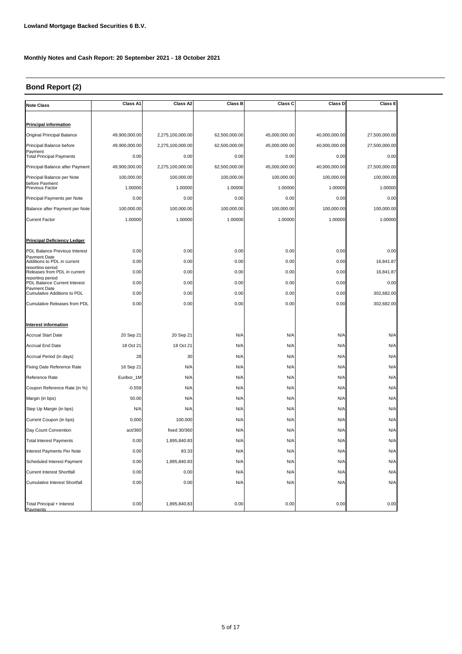## **Bond Report (2)**

| <b>Note Class</b>                                | Class A1      | Class A2         | <b>Class B</b> | Class C       | Class D       | Class E       |
|--------------------------------------------------|---------------|------------------|----------------|---------------|---------------|---------------|
|                                                  |               |                  |                |               |               |               |
| <b>Principal information</b>                     |               |                  |                |               |               |               |
| Original Principal Balance                       | 49,900,000.00 | 2,275,100,000.00 | 62,500,000.00  | 45,000,000.00 | 40,000,000.00 | 27,500,000.00 |
| Principal Balance before<br>Pavment              | 49,900,000.00 | 2,275,100,000.00 | 62,500,000.00  | 45,000,000.00 | 40,000,000.00 | 27,500,000.00 |
| <b>Total Principal Payments</b>                  | 0.00          | 0.00             | 0.00           | 0.00          | 0.00          | 0.00          |
| Principal Balance after Payment                  | 49,900,000.00 | 2,275,100,000.00 | 62,500,000.00  | 45,000,000.00 | 40,000,000.00 | 27,500,000.00 |
| Principal Balance per Note                       | 100,000.00    | 100,000.00       | 100,000.00     | 100,000.00    | 100,000.00    | 100,000.00    |
| before Pavment<br>Previous Factor                | 1.00000       | 1.00000          | 1.00000        | 1.00000       | 1.00000       | 1.00000       |
| Principal Payments per Note                      | 0.00          | 0.00             | 0.00           | 0.00          | 0.00          | 0.00          |
| Balance after Payment per Note                   | 100,000.00    | 100,000.00       | 100,000.00     | 100,000.00    | 100,000.00    | 100,000.00    |
| <b>Current Factor</b>                            | 1.00000       | 1.00000          | 1.00000        | 1.00000       | 1.00000       | 1.00000       |
|                                                  |               |                  |                |               |               |               |
| <b>Principal Deficiency Ledger</b>               |               |                  |                |               |               |               |
| PDL Balance Previous Interest                    | 0.00          | 0.00             | 0.00           | 0.00          | 0.00          | 0.00          |
| Pavment Date<br>Additions to PDL in current      | 0.00          | 0.00             | 0.00           | 0.00          | 0.00          | 16,841.87     |
| reporting period<br>Releases from PDL in current | 0.00          | 0.00             | 0.00           | 0.00          | 0.00          | 16,841.87     |
| reporting period<br>PDL Balance Current Interest | 0.00          | 0.00             | 0.00           | 0.00          | 0.00          | 0.00          |
| Pavment Date<br>Cumulative Additions to PDL      | 0.00          | 0.00             | 0.00           | 0.00          | 0.00          | 302,682.00    |
| <b>Cumulative Releases from PDL</b>              | 0.00          | 0.00             | 0.00           | 0.00          | 0.00          | 302.682.00    |
|                                                  |               |                  |                |               |               |               |
| <b>Interest information</b>                      |               |                  |                |               |               |               |
| <b>Accrual Start Date</b>                        | 20 Sep 21     | 20 Sep 21        | N/A            | N/A           | N/A           | N/A           |
| <b>Accrual End Date</b>                          | 18 Oct 21     | 18 Oct 21        | N/A            | N/A           | N/A           | N/A           |
| Accrual Period (in days)                         | 28            | 30               | N/A            | N/A           | N/A           | N/A           |
| Fixing Date Reference Rate                       | 16 Sep 21     | N/A              | N/A            | N/A           | N/A           | N/A           |
| Reference Rate                                   | Euribor_1M    | N/A              | N/A            | N/A           | N/A           | N/A           |
| Coupon Reference Rate (in %)                     | $-0.559$      | N/A              | N/A            | N/A           | N/A           | N/A           |
| Margin (in bps)                                  | 50.00         | N/A              | N/A            | N/A           | N/A           | N/A           |
| Step Up Margin (in bps)                          | N/A           | N/A              | N/A            | N/A           | N/A           | N/A           |
| Current Coupon (in bps)                          | 0.000         | 100.000          | N/A            | N/A           | N/A           | N/A           |
| Day Count Convention                             | act/360       | fixed 30/360     | N/A            | N/A           | N/A           | N/A           |
| <b>Total Interest Payments</b>                   | 0.00          | 1,895,840.83     | N/A            | N/A           | N/A           | N/A           |
| Interest Payments Per Note                       | 0.00          | 83.33            | N/A            | N/A           | N/A           | N/A           |
| Scheduled Interest Payment                       | 0.00          | 1,895,840.83     | N/A            | N/A           | N/A           | N/A           |
| <b>Current Interest Shortfall</b>                | 0.00          | 0.00             | N/A            | N/A           | N/A           | N/A           |
| <b>Cumulative Interest Shortfall</b>             | 0.00          | 0.00             | N/A            | N/A           | N/A           | N/A           |
|                                                  |               |                  |                |               |               |               |
| Total Principal + Interest<br><b>Payments</b>    | 0.00          | 1,895,840.83     | 0.00           | 0.00          | 0.00          | 0.00          |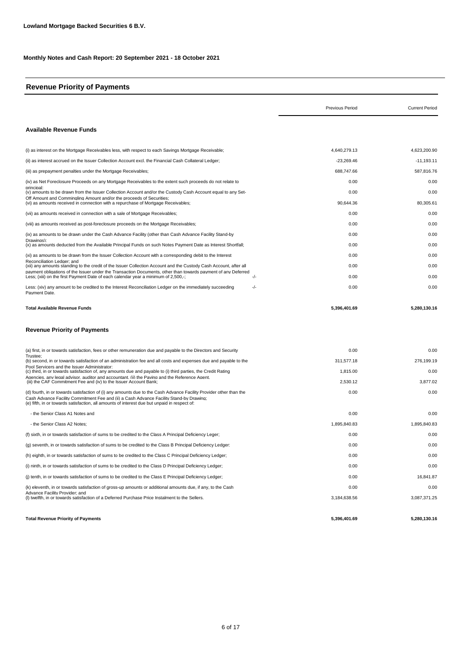## **Revenue Priority of Payments**

|                                                                                                                                                                                                                                                                                                               | Previous Period | <b>Current Period</b> |
|---------------------------------------------------------------------------------------------------------------------------------------------------------------------------------------------------------------------------------------------------------------------------------------------------------------|-----------------|-----------------------|
| Available Revenue Funds                                                                                                                                                                                                                                                                                       |                 |                       |
| (i) as interest on the Mortgage Receivables less, with respect to each Savings Mortgage Receivable;                                                                                                                                                                                                           | 4,640,279.13    | 4,623,200.90          |
| (ii) as interest accrued on the Issuer Collection Account excl. the Financial Cash Collateral Ledger;                                                                                                                                                                                                         | -23,269.46      | $-11,193.11$          |
| (iii) as prepayment penalties under the Mortgage Receivables;                                                                                                                                                                                                                                                 | 688,747.66      | 587,816.76            |
| (iv) as Net Foreclosure Proceeds on any Mortgage Receivables to the extent such proceeds do not relate to                                                                                                                                                                                                     | 0.00            | 0.00                  |
| principal:<br>(v) amounts to be drawn from the Issuer Collection Account and/or the Custody Cash Account equal to any Set-                                                                                                                                                                                    | 0.00            | 0.00                  |
| Off Amount and Commingling Amount and/or the proceeds of Securities:<br>(vi) as amounts received in connection with a repurchase of Mortgage Receivables;                                                                                                                                                     | 90,644.36       | 80,305.61             |
| (vii) as amounts received in connection with a sale of Mortgage Receivables;                                                                                                                                                                                                                                  | 0.00            | 0.00                  |
| (viii) as amounts received as post-foreclosure proceeds on the Mortgage Receivables;                                                                                                                                                                                                                          | 0.00            | 0.00                  |
| ix) as amounts to be drawn under the Cash Advance Facility (other than Cash Advance Facility Stand-by)                                                                                                                                                                                                        | 0.00            | 0.00                  |
| Drawings):<br>(x) as amounts deducted from the Available Principal Funds on such Notes Payment Date as Interest Shortfall;                                                                                                                                                                                    | 0.00            | 0.00                  |
| (xi) as amounts to be drawn from the Issuer Collection Account with a corresponding debit to the Interest                                                                                                                                                                                                     | 0.00            | 0.00                  |
| Reconciliation Ledger: and<br>(xii) any amounts standing to the credit of the Issuer Collection Account and the Custody Cash Account, after all                                                                                                                                                               | 0.00            | 0.00                  |
| payment obligations of the Issuer under the Transaction Documents, other than towards payment of any Deferred<br>Less; (xiii) on the first Payment Date of each calendar year a minimum of 2,500,-;<br>-/-                                                                                                    | 0.00            | 0.00                  |
| Less: (xiv) any amount to be credited to the Interest Reconciliation Ledger on the immediately succeeding<br>-/-<br>Pavment Date.                                                                                                                                                                             | 0.00            | 0.00                  |
| <b>Total Available Revenue Funds</b>                                                                                                                                                                                                                                                                          | 5,396,401.69    | 5,280,130.16          |
| <b>Revenue Priority of Payments</b>                                                                                                                                                                                                                                                                           |                 |                       |
| (a) first, in or towards satisfaction, fees or other remuneration due and payable to the Directors and Security                                                                                                                                                                                               | 0.00            | 0.00                  |
| Trustee:<br>(b) second, in or towards satisfaction of an administration fee and all costs and expenses due and payable to the                                                                                                                                                                                 | 311,577.18      | 276,199.19            |
| Pool Servicers and the Issuer Administrator:<br>(c) third, in or towards satisfaction of, any amounts due and payable to (i) third parties, the Credit Rating                                                                                                                                                 | 1,815.00        | 0.00                  |
| Agencies, any legal advisor, auditor and accountant. (ii) the Paving and the Reference Agent.<br>(iii) the CAF Commitment Fee and (iv) to the Issuer Account Bank;                                                                                                                                            | 2,530.12        | 3,877.02              |
| (d) fourth, in or towards satisfaction of (i) any amounts due to the Cash Advance Facility Provider other than the<br>Cash Advance Facility Commitment Fee and (ii) a Cash Advance Facility Stand-by Drawing:<br>(e) fifth, in or towards satisfaction, all amounts of interest due but unpaid in respect of: | 0.00            | 0.00                  |
| - the Senior Class A1 Notes and                                                                                                                                                                                                                                                                               | 0.00            | 0.00                  |
| - the Senior Class A2 Notes;                                                                                                                                                                                                                                                                                  | 1,895,840.83    | 1.895.840.83          |
| (f) sixth, in or towards satisfaction of sums to be credited to the Class A Principal Deficiency Leger;                                                                                                                                                                                                       | 0.00            | 0.00                  |
| (g) seventh, in or towards satisfaction of sums to be credited to the Class B Principal Deficiency Ledger:                                                                                                                                                                                                    | 0.00            | 0.00                  |
| (h) eighth, in or towards satisfaction of sums to be credited to the Class C Principal Deficiency Ledger;                                                                                                                                                                                                     | 0.00            | 0.00                  |
| (i) ninth, in or towards satisfaction of sums to be credited to the Class D Principal Deficiency Ledger;                                                                                                                                                                                                      | 0.00            | 0.00                  |
| (j) tenth, in or towards satisfaction of sums to be credited to the Class E Principal Deficiency Ledger;                                                                                                                                                                                                      | 0.00            | 16.841.87             |
| (k) eleventh, in or towards satisfaction of gross-up amounts or additional amounts due, if any, to the Cash                                                                                                                                                                                                   | 0.00            | 0.00                  |
| Advance Facility Provider: and<br>(I) twelfth, in or towards satisfaction of a Deferred Purchase Price Instalment to the Sellers.                                                                                                                                                                             | 3,184,638.56    | 3,087,371.25          |
| <b>Total Revenue Priority of Payments</b>                                                                                                                                                                                                                                                                     | 5,396,401.69    | 5,280,130.16          |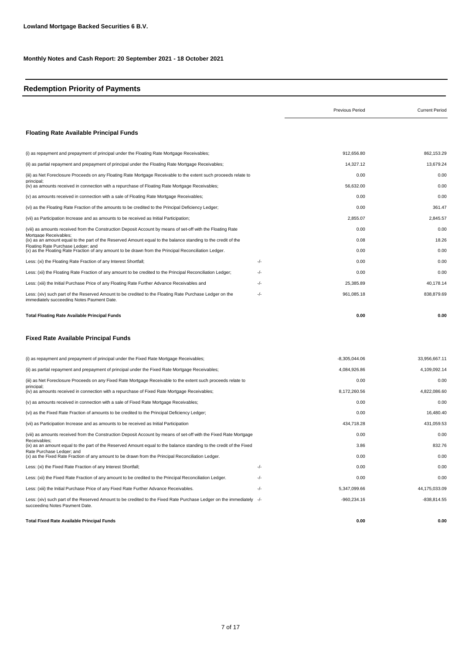## **Redemption Priority of Payments**

|                                                                                                                                                        |     | <b>Previous Period</b> | <b>Current Period</b> |
|--------------------------------------------------------------------------------------------------------------------------------------------------------|-----|------------------------|-----------------------|
| <b>Floating Rate Available Principal Funds</b>                                                                                                         |     |                        |                       |
| (i) as repayment and prepayment of principal under the Floating Rate Mortgage Receivables;                                                             |     | 912.656.80             | 862,153.29            |
| (ii) as partial repayment and prepayment of principal under the Floating Rate Mortgage Receivables;                                                    |     | 14,327.12              | 13,679.24             |
| (iii) as Net Foreclosure Proceeds on any Floating Rate Mortgage Receivable to the extent such proceeds relate to                                       |     | 0.00                   | 0.00                  |
| principal:<br>(iv) as amounts received in connection with a repurchase of Floating Rate Mortgage Receivables;                                          |     | 56,632.00              | 0.00                  |
| (v) as amounts received in connection with a sale of Floating Rate Mortgage Receivables;                                                               |     | 0.00                   | 0.00                  |
| (vi) as the Floating Rate Fraction of the amounts to be credited to the Principal Deficiency Ledger;                                                   |     | 0.00                   | 361.47                |
| (vii) as Participation Increase and as amounts to be received as Initial Participation;                                                                |     | 2,855.07               | 2,845.57              |
| (viii) as amounts received from the Construction Deposit Account by means of set-off with the Floating Rate                                            |     | 0.00                   | 0.00                  |
| Mortgage Receivables;<br>(ix) as an amount equal to the part of the Reserved Amount equal to the balance standing to the credit of the                 |     | 0.08                   | 18.26                 |
| Floating Rate Purchase Ledger; and<br>(x) as the Floating Rate Fraction of any amount to be drawn from the Principal Reconciliation Ledger.            |     | 0.00                   | 0.00                  |
| Less: (xi) the Floating Rate Fraction of any Interest Shortfall;                                                                                       | -/- | 0.00                   | 0.00                  |
| Less: (xii) the Floating Rate Fraction of any amount to be credited to the Principal Reconciliation Ledger;                                            | -/- | 0.00                   | 0.00                  |
| Less: (xiii) the Initial Purchase Price of any Floating Rate Further Advance Receivables and                                                           | -/- | 25,385.89              | 40,178.14             |
| Less: (xiv) such part of the Reserved Amount to be credited to the Floating Rate Purchase Ledger on the<br>immediately succeeding Notes Payment Date.  | -/- | 961,085.18             | 838,879.69            |
| <b>Total Floating Rate Available Principal Funds</b>                                                                                                   |     | 0.00                   | 0.00                  |
| <b>Fixed Rate Available Principal Funds</b>                                                                                                            |     |                        |                       |
| (i) as repayment and prepayment of principal under the Fixed Rate Mortgage Receivables;                                                                |     | $-8,305,044.06$        | 33,956,667.11         |
| (ii) as partial repayment and prepayment of principal under the Fixed Rate Mortgage Receivables;                                                       |     | 4,084,926.86           | 4,109,092.14          |
| (iii) as Net Foreclosure Proceeds on any Fixed Rate Mortgage Receivable to the extent such proceeds relate to                                          |     | 0.00                   | 0.00                  |
| principal:<br>(iv) as amounts received in connection with a repurchase of Fixed Rate Mortgage Receivables;                                             |     | 8,172,260.56           | 4,822,086.60          |
| (v) as amounts received in connection with a sale of Fixed Rate Mortgage Receivables;                                                                  |     | 0.00                   | 0.00                  |
| (vi) as the Fixed Rate Fraction of amounts to be credited to the Principal Deficiency Ledger;                                                          |     | 0.00                   | 16,480.40             |
| (vii) as Participation Increase and as amounts to be received as Initial Participation                                                                 |     | 434,718.28             | 431.059.53            |
| (viii) as amounts received from the Construction Deposit Account by means of set-off with the Fixed Rate Mortgage                                      |     | 0.00                   | 0.00                  |
| Receivables:<br>(ix) as an amount equal to the part of the Reserved Amount equal to the balance standing to the credit of the Fixed                    |     | 3.86                   | 832.76                |
| Rate Purchase Ledger: and<br>(x) as the Fixed Rate Fraction of any amount to be drawn from the Principal Reconciliation Ledger.                        |     | 0.00                   | 0.00                  |
| Less: (xi) the Fixed Rate Fraction of any Interest Shortfall;                                                                                          | -/- | 0.00                   | 0.00                  |
| Less: (xii) the Fixed Rate Fraction of any amount to be credited to the Principal Reconciliation Ledger.                                               | -/- | 0.00                   | 0.00                  |
| Less: (xiii) the Initial Purchase Price of any Fixed Rate Further Advance Receivables.                                                                 | -/- | 5,347,099.66           | 44,175,033.09         |
| Less: (xiv) such part of the Reserved Amount to be credited to the Fixed Rate Purchase Ledger on the immediately -/-<br>succeeding Notes Payment Date. |     | $-960,234.16$          | $-838,814.55$         |
| <b>Total Fixed Rate Available Principal Funds</b>                                                                                                      |     | 0.00                   | 0.00                  |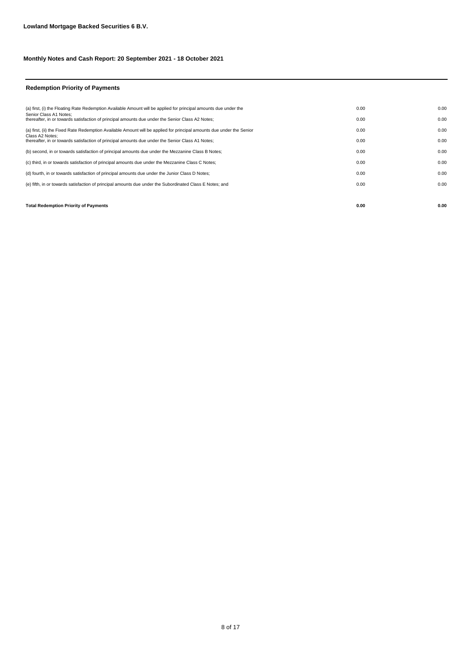#### **Redemption Priority of Payments**

| <b>Total Redemption Priority of Payments</b>                                                                               | 0.00 | 0.00 |
|----------------------------------------------------------------------------------------------------------------------------|------|------|
|                                                                                                                            |      |      |
| (e) fifth, in or towards satisfaction of principal amounts due under the Subordinated Class E Notes; and                   | 0.00 | 0.00 |
| (d) fourth, in or towards satisfaction of principal amounts due under the Junior Class D Notes;                            | 0.00 | 0.00 |
| (c) third, in or towards satisfaction of principal amounts due under the Mezzanine Class C Notes;                          | 0.00 | 0.00 |
| (b) second, in or towards satisfaction of principal amounts due under the Mezzanine Class B Notes;                         | 0.00 | 0.00 |
| Class A2 Notes:<br>thereafter, in or towards satisfaction of principal amounts due under the Senior Class A1 Notes;        | 0.00 | 0.00 |
| (a) first, (ii) the Fixed Rate Redemption Available Amount will be applied for principal amounts due under the Senior      | 0.00 | 0.00 |
| Senior Class A1 Notes:<br>thereafter, in or towards satisfaction of principal amounts due under the Senior Class A2 Notes; | 0.00 | 0.00 |
| (a) first, (i) the Floating Rate Redemption Available Amount will be applied for principal amounts due under the           | 0.00 | 0.00 |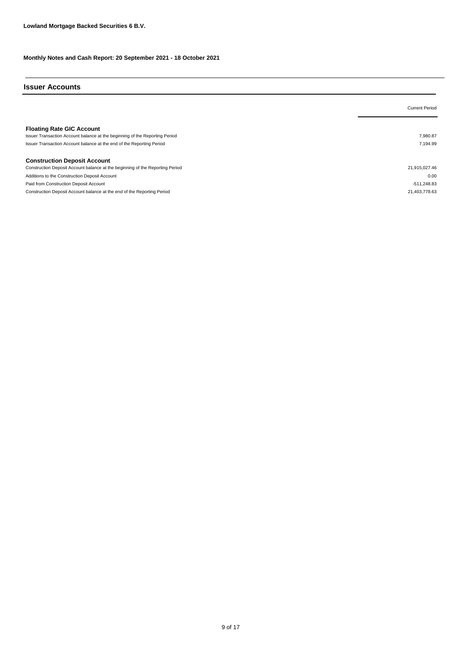#### **Issuer Accounts**

|                                                                               | <b>Current Period</b> |
|-------------------------------------------------------------------------------|-----------------------|
|                                                                               |                       |
| <b>Floating Rate GIC Account</b>                                              |                       |
| Issuer Transaction Account balance at the beginning of the Reporting Period   | 7.980.87              |
| Issuer Transaction Account balance at the end of the Reporting Period         | 7.194.99              |
|                                                                               |                       |
| <b>Construction Deposit Account</b>                                           |                       |
| Construction Deposit Account balance at the beginning of the Reporting Period | 21,915,027.46         |
| Additions to the Construction Deposit Account                                 | 0.00                  |
| Paid from Construction Deposit Account                                        | $-511,248.83$         |
| Construction Deposit Account balance at the end of the Reporting Period       | 21.403.778.63         |
|                                                                               |                       |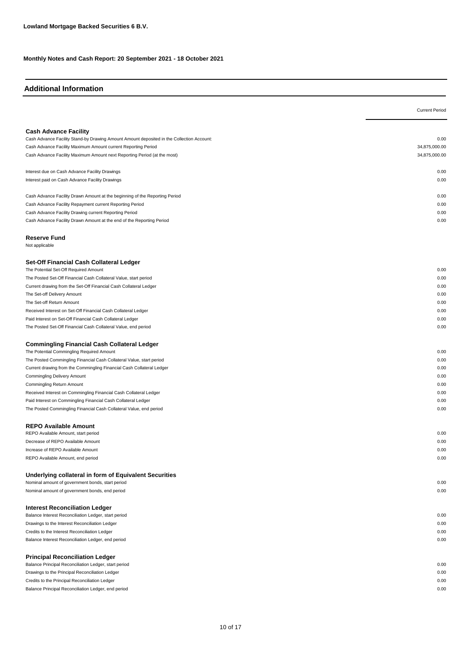## **Additional Information**

|                                                                                                                                     | <b>Current Period</b> |
|-------------------------------------------------------------------------------------------------------------------------------------|-----------------------|
|                                                                                                                                     |                       |
| <b>Cash Advance Facility</b>                                                                                                        |                       |
| Cash Advance Facility Stand-by Drawing Amount Amount deposited in the Collection Account:                                           | 0.00                  |
| Cash Advance Facility Maximum Amount current Reporting Period                                                                       | 34,875,000.00         |
| Cash Advance Facility Maximum Amount next Reporting Period (at the most)                                                            | 34,875,000.00         |
|                                                                                                                                     |                       |
| Interest due on Cash Advance Facility Drawings                                                                                      | 0.00                  |
| Interest paid on Cash Advance Facility Drawings                                                                                     | 0.00                  |
|                                                                                                                                     |                       |
| Cash Advance Facility Drawn Amount at the beginning of the Reporting Period                                                         | 0.00                  |
| Cash Advance Facility Repayment current Reporting Period                                                                            | 0.00                  |
| Cash Advance Facility Drawing current Reporting Period                                                                              | 0.00                  |
| Cash Advance Facility Drawn Amount at the end of the Reporting Period                                                               | 0.00                  |
|                                                                                                                                     |                       |
| <b>Reserve Fund</b><br>Not applicable                                                                                               |                       |
|                                                                                                                                     |                       |
| Set-Off Financial Cash Collateral Ledger                                                                                            |                       |
| The Potential Set-Off Required Amount                                                                                               | 0.00                  |
| The Posted Set-Off Financial Cash Collateral Value, start period                                                                    | 0.00                  |
| Current drawing from the Set-Off Financial Cash Collateral Ledger                                                                   | 0.00                  |
| The Set-off Delivery Amount                                                                                                         | 0.00                  |
| The Set-off Return Amount                                                                                                           | 0.00                  |
| Received Interest on Set-Off Financial Cash Collateral Ledger                                                                       | 0.00                  |
| Paid Interest on Set-Off Financial Cash Collateral Ledger                                                                           | 0.00                  |
| The Posted Set-Off Financial Cash Collateral Value, end period                                                                      | 0.00                  |
|                                                                                                                                     |                       |
| <b>Commingling Financial Cash Collateral Ledger</b>                                                                                 |                       |
| The Potential Commingling Required Amount                                                                                           | 0.00                  |
| The Posted Commingling Financial Cash Collateral Value, start period                                                                | 0.00                  |
| Current drawing from the Commingling Financial Cash Collateral Ledger                                                               | 0.00                  |
| <b>Commingling Delivery Amount</b>                                                                                                  | 0.00                  |
| <b>Commingling Return Amount</b>                                                                                                    | 0.00<br>0.00          |
| Received Interest on Commingling Financial Cash Collateral Ledger                                                                   | 0.00                  |
| Paid Interest on Commingling Financial Cash Collateral Ledger<br>The Posted Commingling Financial Cash Collateral Value, end period | 0.00                  |
|                                                                                                                                     |                       |
| <b>REPO Available Amount</b>                                                                                                        |                       |
| REPO Available Amount, start period                                                                                                 | 0.00                  |
| Decrease of REPO Available Amount                                                                                                   | 0.00                  |
| Increase of REPO Available Amount                                                                                                   | 0.00                  |
| REPO Available Amount, end period                                                                                                   | 0.00                  |
|                                                                                                                                     |                       |
| Underlying collateral in form of Equivalent Securities                                                                              |                       |
| Nominal amount of government bonds, start period                                                                                    | 0.00                  |
| Nominal amount of government bonds, end period                                                                                      | 0.00                  |
|                                                                                                                                     |                       |
| <b>Interest Reconciliation Ledger</b><br>Balance Interest Reconciliation Ledger, start period                                       | 0.00                  |
| Drawings to the Interest Reconciliation Ledger                                                                                      | 0.00                  |
| Credits to the Interest Reconciliation Ledger                                                                                       | 0.00                  |
| Balance Interest Reconciliation Ledger, end period                                                                                  | 0.00                  |
|                                                                                                                                     |                       |
| <b>Principal Reconciliation Ledger</b>                                                                                              |                       |
| Balance Principal Reconciliation Ledger, start period                                                                               | 0.00                  |
| Drawings to the Principal Reconciliation Ledger                                                                                     | 0.00                  |
| Credits to the Principal Reconciliation Ledger                                                                                      | 0.00                  |
| Balance Principal Reconciliation Ledger, end period                                                                                 | 0.00                  |
|                                                                                                                                     |                       |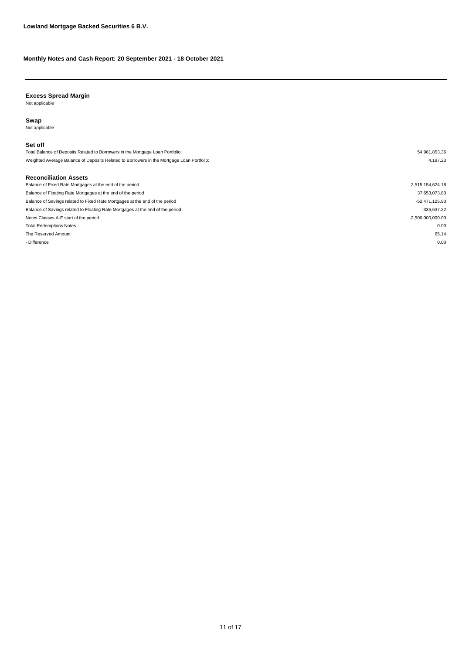#### **Excess Spread Margin**

Not applicable

#### **Swap**

Not applicable

#### **Set off**

| Total Balance of Deposits Related to Borrowers in the Mortgage Loan Portfolio:            | 54,981,853.36       |
|-------------------------------------------------------------------------------------------|---------------------|
| Weighted Average Balance of Deposits Related to Borrowers in the Mortgage Loan Portfolio: | 4.197.23            |
|                                                                                           |                     |
| <b>Reconciliation Assets</b>                                                              |                     |
| Balance of Fixed Rate Mortgages at the end of the period                                  | 2,515,154,624.18    |
| Balance of Floating Rate Mortgages at the end of the period                               | 37,653,073.80       |
| Balance of Savings related to Fixed Rate Mortgages at the end of the period               | -52,471,125.90      |
| Balance of Savings related to Floating Rate Mortgages at the end of the period            | $-336,637.22$       |
| Notes Classes A-E start of the period                                                     | $-2,500,000,000.00$ |
| <b>Total Redemptions Notes</b>                                                            | 0.00                |
| The Reserved Amount                                                                       | 65.14               |
| - Difference                                                                              | 0.00                |
|                                                                                           |                     |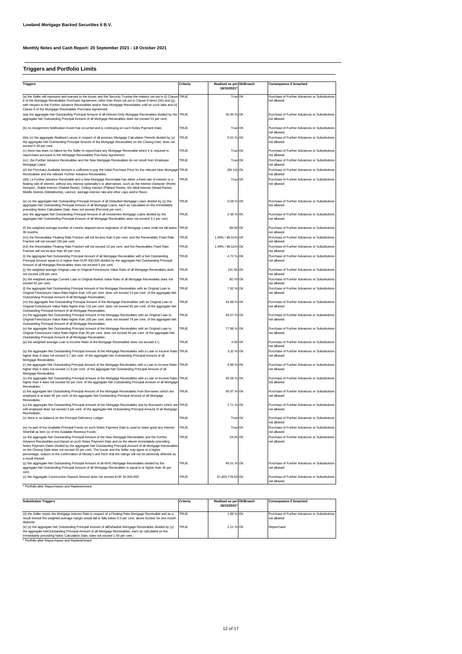#### **Triggers and Portfolio Limits**

| <b>Triggers</b>                                                                                                                                                                                                                                                                                                                                                                                                                                                                                                                            | Criteria    | Realised as per Ok/Breach<br>18/10/2021 | Consequence if breached                                      |
|--------------------------------------------------------------------------------------------------------------------------------------------------------------------------------------------------------------------------------------------------------------------------------------------------------------------------------------------------------------------------------------------------------------------------------------------------------------------------------------------------------------------------------------------|-------------|-----------------------------------------|--------------------------------------------------------------|
|                                                                                                                                                                                                                                                                                                                                                                                                                                                                                                                                            |             |                                         |                                                              |
| (a) the Seller will represent and warrant to the Issuer and the Security Trustee the matters set out in (i) Clause<br>8 of the Mortgage Receivables Purchase Agreement, other than those set out in Clause 8 items (hh) and (jj),<br>with respect to the Further Advance Receivables and/or New Mortgage Receivables sold on such date and (ii)<br>Clause 9 of the Mortgage Receivables Purchase Agreement;                                                                                                                                | TRUE        | True OK                                 | Purchase of Further Advances or Substitutions<br>not allowed |
| (aa) the aggregate Net Outstanding Principal Amount of all Interest-Only Mortgage Receivables divided by the TRUE<br>aggregate Net Outstanding Principal Amount of all Mortgage Receivables does not exceed 31 per cent;                                                                                                                                                                                                                                                                                                                   |             | 30.45 % OK                              | Purchase of Further Advances or Substitutions<br>not allowed |
| (b) no Assignment Notification Event has occurred and is continuing on such Notes Payment Date;                                                                                                                                                                                                                                                                                                                                                                                                                                            | TRUF        | True OK                                 | Purchase of Further Advances or Substitutions<br>not allowed |
| (bb) (x) the aggregate Realised Losses in respect of all previous Mortgage Calculation Periods divided by (y)<br>the aggregate Net Outstanding Principal Amount of the Mortgage Receivables on the Closing Date, does not<br>exceed 0.40 per cent;                                                                                                                                                                                                                                                                                         | TRUE        | 0.01 % OK                               | Purchase of Further Advances or Substitutions<br>not allowed |
| (c) there has been no failure by the Seller to repurchase any Mortgage Receivable which it is required to<br>repurchase pursuant to the Mortgage Receivables Purchase Agreement;                                                                                                                                                                                                                                                                                                                                                           | TRUE        | True OK                                 | Purchase of Further Advances or Substitutions<br>ot allowed  |
| (cc) the Further Advance Receivables and the New Mortgage Receivables do not result from Employee<br>Mortgage Loans;                                                                                                                                                                                                                                                                                                                                                                                                                       | TRUE        | True OK                                 | Purchase of Further Advances or Substitutions<br>not allowed |
| (d) the Purchase Available Amount is sufficient to pay the Initial Purchase Price for the relevant New Mortgage<br>Receivables and the relevant Further Advance Receivables;                                                                                                                                                                                                                                                                                                                                                               | TRUE        | $(65.14)$ OK                            | Purchase of Further Advances or Substitutions<br>not allowed |
| (dd) ) a Further Advance Receivable and a New Mortgage Receivable has either a fixed rate of interest or a<br>floating rate of interest, without any interest optionality's or alternatives, such as the Interest Dampner (Rente<br>Demper), Stable Interest (Stabiel Rente), Ceiling Interest (Plafond Rente), the Ideal Interest (Ideaal Rente),<br>Middle Interest (Middelrente), varirust, average interest rate and other caps and/or floors;                                                                                         | TRUF        | True OK                                 | Purchase of Further Advances or Substitutions<br>not allowed |
| (e) (x) the aggregate Net Outstanding Principal Amount of all Defaulted Mortgage Loans divided by (y) the<br>aggregate Net Outstanding Principal Amount of all Mortgage Loans, each as calculated on the immediately<br>preceding Notes Calculation Date, does not exceed [Percent] per cent.;                                                                                                                                                                                                                                             | TRUE        | 0.09 % OK                               | Purchase of Further Advances or Substitutions<br>not allowed |
| (ee) the aggregate Net Outstanding Principal Amount of all Investment Mortgage Loans divided by the<br>aggregate Net Outstanding Principal Amount of all Mortgage Receivables does not exceed 3.2 per cent;                                                                                                                                                                                                                                                                                                                                | TRUE        | 2.48 % OK                               | Purchase of Further Advances or Substitutions<br>not allowed |
| (f) the weighted average number of months elapsed since origination of all Mortgage Loans shall not fall below<br>30 months:                                                                                                                                                                                                                                                                                                                                                                                                               | TRUE        | 68.00 OK                                | Purchase of Further Advances or Substitutions<br>ot allowed  |
| (h1) the Receivables Floating Rate Fraction will not be less than 0 per cent. and the Receivables Fixed Rate<br>Fraction will not exceed 100 per cent;                                                                                                                                                                                                                                                                                                                                                                                     | TRUE        | 1.49% / 98.51% OK                       | Purchase of Further Advances or Substitutions<br>not allowed |
| (h2) the Receivables Floating Rate Fraction will not exceed 10 per cent. and the Receivables Fixed Rate<br>Fraction will not be less than 90 per cent;                                                                                                                                                                                                                                                                                                                                                                                     | TRUF        | 1.49% / 98.51% OK                       | Purchase of Further Advances or Substitutions<br>not allowed |
| (i) the aggregate Net Outstanding Principal Amount of all Mortgage Receivables with a Net Outstanding<br>Principal Amount equal to or higher than EUR 500,000 divided by the aggregate Net Outstanding Principal<br>Amount of all Mortgage Receivables does not exceed 5 per cent;                                                                                                                                                                                                                                                         | TRUF        | 4.72 % OK                               | Purchase of Further Advances or Substitutions<br>not allowed |
| (j) the weighted average Original Loan to Original Foreclosure Value Ratio of all Mortgage Receivables does<br>not exceed 109 per cent;                                                                                                                                                                                                                                                                                                                                                                                                    | TRUE        | 101.55 OK                               | Purchase of Further Advances or Substitutions<br>ot allowed  |
| (k) the weighted average Current Loan to Original Market Value Ratio of all Mortgage Receivables does not<br>exceed 92 per cent;                                                                                                                                                                                                                                                                                                                                                                                                           | TRUE        | 80.70 OK                                | Purchase of Further Advances or Substitutions<br>ot allowed  |
| (I) the aggregate Net Outstanding Principal Amount of the Mortgage Receivables with an Original Loan to<br>Original Foreclosure Value Ratio higher than 120 per cent. does not exceed 13 per cent. of the aggregate Net<br>Outstanding Principal Amount of all Mortgage Receivables;                                                                                                                                                                                                                                                       | TRUE        | 7.82 % OK                               | Purchase of Further Advances or Substitutions<br>not allowed |
| (m) the aggregate Net Outstanding Principal Amount of the Mortgage Receivables with an Original Loan to<br>Original Foreclosure Value Ratio higher than 110 per cent. does not exceed 65 per cent. of the aggregate Net<br>Outstanding Principal Amount of all Mortgage Receivables;                                                                                                                                                                                                                                                       | TRUE        | 43.68 % OK                              | Purchase of Further Advances or Substitutions<br>not allowed |
| (n) the aggregate Net Outstanding Principal Amount of the Mortgage Receivables with an Original Loan to<br>Original Foreclosure Value Ratio higher than 100 per cent. does not exceed 79 per cent. of the aggregate Net<br>Outstanding Principal Amount of all Mortgage Receivables;                                                                                                                                                                                                                                                       | TRUE        | 59.57 % OK                              | Purchase of Further Advances or Substitutions<br>not allowed |
| (o) the aggregate Net Outstanding Principal Amount of the Mortgage Receivables with an Original Loan to<br>Original Foreclosure Value Ratio higher than 90 per cent. does not exceed 94 per cent. of the aggregate Net<br>Outstanding Principal Amount of all Mortgage Receivables;                                                                                                                                                                                                                                                        | TRUE        | 77.86 % OK                              | Purchase of Further Advances or Substitutions<br>not allowed |
| (p) the weighted average Loan to Income Ratio of the Mortgage Receivables does not exceed 4.1;                                                                                                                                                                                                                                                                                                                                                                                                                                             | TRUE        | 4.05 OK                                 | Purchase of Further Advances or Substitutions<br>ot allowed  |
| (q) the aggregate Net Outstanding Principal Amount of the Mortgage Receivables with a Loan to Income Ratio<br>higher than 6 does not exceed 3.7 per cent. of the aggregate Net Outstanding Principal Amount of all<br>Mortgage Receivables;                                                                                                                                                                                                                                                                                                | TRUE        | 3.32 % OK                               | Purchase of Further Advances or Substitutions<br>not allowed |
| (r) the aggregate Net Outstanding Principal Amount of the Mortgage Receivables with a Loan to Income Ratio<br>higher than 5 does not exceed 11.8 per cent. of the aggregate Net Outstanding Principal Amount of all<br>Mortgage Receivables;                                                                                                                                                                                                                                                                                               | <b>TRUE</b> | 9.88 % OK                               | Purchase of Further Advances or Substitutions<br>not allowed |
| (s) the aggregate Net Outstanding Principal Amount of the Mortgage Receivables with a Loan to Income Ratio TRUE<br>higher than 4 does not exceed 59 per cent. of the aggregate Net Outstanding Principal Amount of all Mortgage<br>Receivables:                                                                                                                                                                                                                                                                                            |             | 45.58 % OK                              | Purchase of Further Advances or Substitutions<br>not allowed |
| (t) the aggregate Net Outstanding Principal Amount of the Mortgage Receivables from Borrowers which are<br>employed is at least 95 per cent. of the aggregate Net Outstanding Principal Amount of all Mortgage<br>Receivables:                                                                                                                                                                                                                                                                                                             | TRUE        | 95.97 % OK                              | Purchase of Further Advances or Substitutions<br>not allowed |
| (u) the aggregate Net Outstanding Principal Amount of the Mortgage Receivables due by Borrowers which are<br>self-employed does not exceed 3 per cent. of the aggregate Net Outstanding Principal Amount of all Mortgage<br>Receivables:                                                                                                                                                                                                                                                                                                   | TRUE        | 2.71 % OK                               | Purchase of Further Advances or Substitutions<br>hewolle ton |
| (v) there is no balance on the Principal Deficiency Ledger;                                                                                                                                                                                                                                                                                                                                                                                                                                                                                | TRUF        | True OK                                 | Purchase of Further Advances or Substitutions<br>not allowed |
| (w) no part of the Available Principal Funds on such Notes Payment Date is used to make good any Interest<br>Shortfall as item (x) of the Available Revenue Funds;                                                                                                                                                                                                                                                                                                                                                                         | TRUE        | True OK                                 | Purchase of Further Advances or Substitutions<br>not allowed |
| (x) the aggregate Net Outstanding Principal Amount of the New Mortgage Receivables and the Further<br>Advance Receivables purchased on such Notes Payment Date and on the eleven immediately preceding<br>Notes Payment Dates divided by the aggregate Net Outstanding Principal Amount of all Mortgage Receivables<br>on the Closing Date does not exceed 20 per cent. The Issuer and the Seller may agree to a higher<br>percentage, subject to the confirmation of Moody's and Fitch that the ratings will not be adversely affected as | TRUE        | 19.34 OK                                | Purchase of Further Advances or Substitutions<br>not allowed |
| a result thereof:<br>(y) the aggregate Net Outstanding Principal Amount of all NHG Mortgage Receivables divided by the<br>aggregate Net Outstanding Principal Amount of all Mortgage Receivables is equal to or higher than 45 per                                                                                                                                                                                                                                                                                                         | TRUF        | 45.01 % OK                              | Purchase of Further Advances or Substitutions<br>not allowed |
| cent;<br>(z) the Aggregate Construction Deposit Amount does not exceed EUR 34,000,000;                                                                                                                                                                                                                                                                                                                                                                                                                                                     | TRUE        | 21,403,778.63 OK                        | Purchase of Further Advances or Substitutions<br>not allowed |
| * Portfolio after Repurchases and Replenishment                                                                                                                                                                                                                                                                                                                                                                                                                                                                                            |             |                                         |                                                              |

| <b>Substitution Triggers</b>                                                                                                                                                                                                                                                                                                                                                                                                                                                                                                                      | Criteria            | Realised as per Ok/Breach | <b>Consequence if breached</b>                                             |
|---------------------------------------------------------------------------------------------------------------------------------------------------------------------------------------------------------------------------------------------------------------------------------------------------------------------------------------------------------------------------------------------------------------------------------------------------------------------------------------------------------------------------------------------------|---------------------|---------------------------|----------------------------------------------------------------------------|
|                                                                                                                                                                                                                                                                                                                                                                                                                                                                                                                                                   |                     | 18/10/2021*               |                                                                            |
| (d) the Seller resets the Mortgage Interest Rate in respect of a Floating Rate Mortgage Receivable and as a<br>result thereof the weighted average margin would fall or falls below 0.5 per cent. above Euribor for one month<br>deposits:<br>(e) (x) the aggregate Net Outstanding Principal Amount of allDefaulted Mortgage Receivables divided by (y)<br>the aggregate NetOutstanding Principal Amount of all Mortgage Receivables, each as calculated on the<br>immediately preceding Notes Calculation Date, does not exceed 1.50 per cent.: | <b>TRUE</b><br>TRUF | 1.86 % OK<br>2.21 % OK    | Purchase of Further Advances or Substitutions<br>not allowed<br>Repurchase |
| * Portfolio after Repurchases and Replenishment                                                                                                                                                                                                                                                                                                                                                                                                                                                                                                   |                     |                           |                                                                            |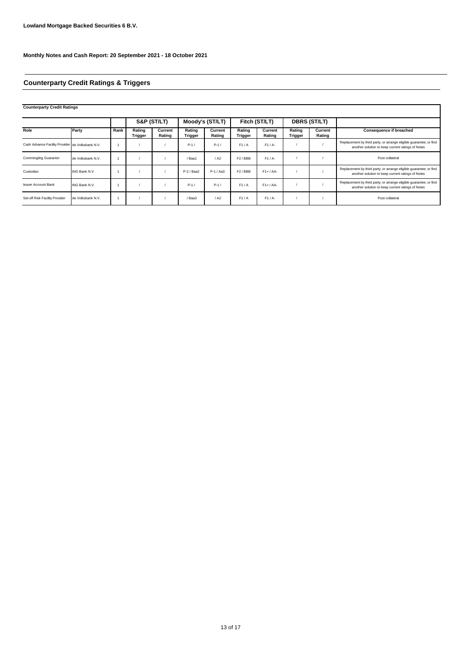# **Counterparty Credit Ratings & Triggers**

| <b>Counterparty Credit Ratings</b>               |                   |      |                   |                   |                          |                   |                          |                   |                   |                     |                                                                                                                         |
|--------------------------------------------------|-------------------|------|-------------------|-------------------|--------------------------|-------------------|--------------------------|-------------------|-------------------|---------------------|-------------------------------------------------------------------------------------------------------------------------|
|                                                  |                   |      |                   | S&P (ST/LT)       |                          | Moody's (ST/LT)   |                          | Fitch (ST/LT)     |                   | <b>DBRS (ST/LT)</b> |                                                                                                                         |
| Role                                             | Party             | Rank | Rating<br>Trigger | Current<br>Rating | Rating<br><b>Trigger</b> | Current<br>Rating | Rating<br><b>Trigger</b> | Current<br>Rating | Rating<br>Trigger | Current<br>Rating   | <b>Consequence if breached</b>                                                                                          |
| Cash Advance Facility Provider de Volksbank N.V. |                   |      |                   |                   | $P-1/$                   | $P-1/$            | F1/A                     | $F1/A-$           |                   |                     | Replacement by third party; or arrange eligible guarantee; or find<br>another solution to keep current ratings of Notes |
| <b>Commingling Guarantor</b>                     | de Volksbank N.V. |      |                   |                   | /Baa1                    | / A2              | F <sub>2</sub> /BBB      | $F1/A-$           |                   |                     | Post collateral                                                                                                         |
| Custodian                                        | ING Bank N.V.     |      |                   |                   | $P-2$ / Baa2             | $P-1/Aa3$         | F <sub>2</sub> /BBB      | $F1+ / AA-$       |                   |                     | Replacement by third party; or arrange eligible guarantee; or find<br>another solution to keep current ratings of Notes |
| <b>Issuer Account Bank</b>                       | ING Bank N.V.     |      |                   |                   | $P-1/$                   | $P-1/$            | F1/A                     | $F1+ / AA-$       |                   |                     | Replacement by third party; or arrange eligible guarantee; or find<br>another solution to keep current ratings of Notes |
| Set-off Risk Facility Provider                   | de Volksbank N.V. |      |                   |                   | / Baa3                   | / A2              | F1/A                     | $F1/A-$           |                   |                     | Post collateral                                                                                                         |

Ŧ.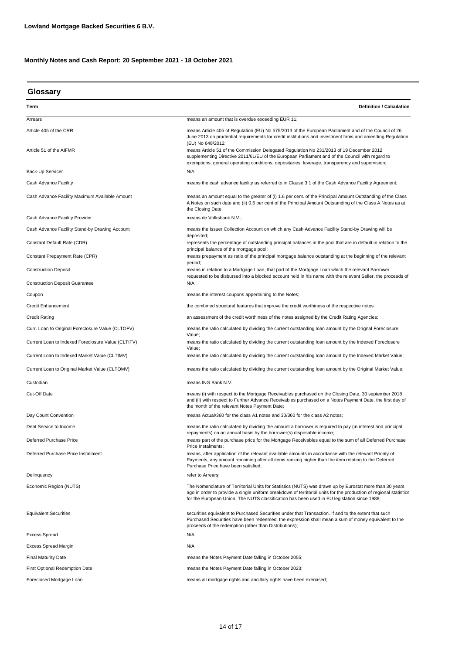| Glossary                                                             |                                                                                                                                                                                                                                                                                                                             |
|----------------------------------------------------------------------|-----------------------------------------------------------------------------------------------------------------------------------------------------------------------------------------------------------------------------------------------------------------------------------------------------------------------------|
| Term                                                                 | <b>Definition / Calculation</b>                                                                                                                                                                                                                                                                                             |
| Arrears                                                              | means an amount that is overdue exceeding EUR 11;                                                                                                                                                                                                                                                                           |
| Article 405 of the CRR                                               | means Article 405 of Regulation (EU) No 575/2013 of the European Parliament and of the Council of 26<br>June 2013 on prudential requirements for credit institutions and investment firms and amending Regulation<br>(EU) No 648/2012;                                                                                      |
| Article 51 of the AIFMR                                              | means Article 51 of the Commission Delegated Regulation No 231/2013 of 19 December 2012<br>supplementing Directive 2011/61/EU of the European Parliament and of the Council with regard to<br>exemptions, general operating conditions, depositaries, leverage, transparency and supervision;                               |
| Back-Up Servicer                                                     | $N/A$ ;                                                                                                                                                                                                                                                                                                                     |
| Cash Advance Facility                                                | means the cash advance facility as referred to in Clause 3.1 of the Cash Advance Facility Agreement;                                                                                                                                                                                                                        |
| Cash Advance Facility Maximum Available Amount                       | means an amount equal to the greater of (i) 1.6 per cent. of the Principal Amount Outstanding of the Class<br>A Notes on such date and (ii) 0.6 per cent of the Principal Amount Outstanding of the Class A Notes as at<br>the Closing Date.                                                                                |
| Cash Advance Facility Provider                                       | means de Volksbank N.V.;                                                                                                                                                                                                                                                                                                    |
| Cash Advance Facility Stand-by Drawing Account                       | means the Issuer Collection Account on which any Cash Advance Facility Stand-by Drawing will be<br>deposited;                                                                                                                                                                                                               |
| Constant Default Rate (CDR)                                          | represents the percentage of outstanding principal balances in the pool that are in default in relation to the<br>principal balance of the mortgage pool;                                                                                                                                                                   |
| Constant Prepayment Rate (CPR)                                       | means prepayment as ratio of the principal mortgage balance outstanding at the beginning of the relevant<br>period;                                                                                                                                                                                                         |
| <b>Construction Deposit</b><br><b>Construction Deposit Guarantee</b> | means in relation to a Mortgage Loan, that part of the Mortgage Loan which the relevant Borrower<br>requested to be disbursed into a blocked account held in his name with the relevant Seller, the proceeds of<br>$N/A$ ;                                                                                                  |
|                                                                      |                                                                                                                                                                                                                                                                                                                             |
| Coupon                                                               | means the interest coupons appertaining to the Notes;                                                                                                                                                                                                                                                                       |
| <b>Credit Enhancement</b>                                            | the combined structural features that improve the credit worthiness of the respective notes.                                                                                                                                                                                                                                |
| Credit Rating                                                        | an assessment of the credit worthiness of the notes assigned by the Credit Rating Agencies;                                                                                                                                                                                                                                 |
| Curr. Loan to Original Foreclosure Value (CLTOFV)                    | means the ratio calculated by dividing the current outstanding loan amount by the Orignal Foreclosure<br>Value;                                                                                                                                                                                                             |
| Current Loan to Indexed Foreclosure Value (CLTIFV)                   | means the ratio calculated by dividing the current outstanding loan amount by the Indexed Foreclosure<br>Value;                                                                                                                                                                                                             |
| Current Loan to Indexed Market Value (CLTIMV)                        | means the ratio calculated by dividing the current outstanding loan amount by the Indexed Market Value;                                                                                                                                                                                                                     |
| Current Loan to Original Market Value (CLTOMV)                       | means the ratio calculated by dividing the current outstanding loan amount by the Original Market Value;                                                                                                                                                                                                                    |
| Custodian                                                            | means ING Bank N.V.                                                                                                                                                                                                                                                                                                         |
| Cut-Off Date                                                         | means (i) with respect to the Mortgage Receivables purchased on the Closing Date, 30 september 2018<br>and (ii) with respect to Further Advance Receivables purchased on a Notes Payment Date, the first day of<br>the month of the relevant Notes Payment Date;                                                            |
| Day Count Convention                                                 | means Actual/360 for the class A1 notes and 30/360 for the class A2 notes;                                                                                                                                                                                                                                                  |
| Debt Service to Income                                               | means the ratio calculated by dividing the amount a borrower is required to pay (in interest and principal<br>repayments) on an annual basis by the borrower(s) disposable income;                                                                                                                                          |
| Deferred Purchase Price                                              | means part of the purchase price for the Mortgage Receivables equal to the sum of all Deferred Purchase<br>Price Instalments;                                                                                                                                                                                               |
| Deferred Purchase Price Installment                                  | means, after application of the relevant available amounts in accordance with the relevant Priority of<br>Payments, any amount remaining after all items ranking higher than the item relating to the Deferred<br>Purchase Price have been satisfied;                                                                       |
| Delinquency                                                          | refer to Arrears;                                                                                                                                                                                                                                                                                                           |
| Economic Region (NUTS)                                               | The Nomenclature of Territorial Units for Statistics (NUTS) was drawn up by Eurostat more than 30 years<br>ago in order to provide a single uniform breakdown of territorial units for the production of regional statistics<br>for the European Union. The NUTS classification has been used in EU legislation since 1988; |
| <b>Equivalent Securities</b>                                         | securities equivalent to Purchased Securities under that Transaction. If and to the extent that such<br>Purchased Securities have been redeemed, the expression shall mean a sum of money equivalent to the<br>proceeds of the redemption (other than Distributions);                                                       |
| <b>Excess Spread</b>                                                 | N/A;                                                                                                                                                                                                                                                                                                                        |
| Excess Spread Margin                                                 | N/A;                                                                                                                                                                                                                                                                                                                        |
| <b>Final Maturity Date</b>                                           | means the Notes Payment Date falling in October 2055;                                                                                                                                                                                                                                                                       |
| <b>First Optional Redemption Date</b>                                | means the Notes Payment Date falling in October 2023;                                                                                                                                                                                                                                                                       |
| Foreclosed Mortgage Loan                                             | means all mortgage rights and ancillary rights have been exercised;                                                                                                                                                                                                                                                         |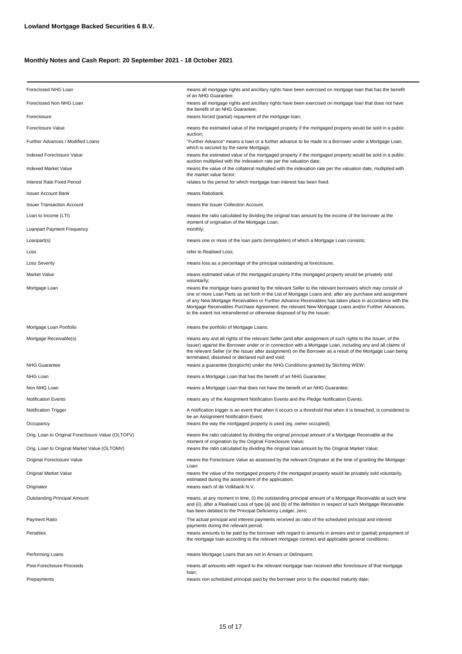| Foreclosed NHG Loan                               | means all mortgage rights and ancillary rights have been exercised on mortgage loan that has the benefit<br>of an NHG Guarantee;                                                                                                                                                                                                                                                                                                                                                                            |
|---------------------------------------------------|-------------------------------------------------------------------------------------------------------------------------------------------------------------------------------------------------------------------------------------------------------------------------------------------------------------------------------------------------------------------------------------------------------------------------------------------------------------------------------------------------------------|
| Foreclosed Non NHG Loan                           | means all mortgage rights and ancillary rights have been exercised on mortgage loan that does not have<br>the benefit of an NHG Guarantee;                                                                                                                                                                                                                                                                                                                                                                  |
| Foreclosure                                       | means forced (partial) repayment of the mortgage loan;                                                                                                                                                                                                                                                                                                                                                                                                                                                      |
| Foreclosure Value                                 | means the estimated value of the mortgaged property if the mortgaged property would be sold in a public                                                                                                                                                                                                                                                                                                                                                                                                     |
| Further Advances / Modified Loans                 | auction;<br>"Further Advance" means a loan or a further advance to be made to a Borrower under a Mortgage Loan,<br>which is secured by the same Mortgage;                                                                                                                                                                                                                                                                                                                                                   |
| ndexed Foreclosure Value                          | means the estimated value of the mortgaged property if the mortgaged property would be sold in a public<br>auction multiplied with the indexation rate per the valuation date;                                                                                                                                                                                                                                                                                                                              |
| Indexed Market Value                              | means the value of the collateral multiplied with the indexation rate per the valuation date, multiplied with<br>the market value factor;                                                                                                                                                                                                                                                                                                                                                                   |
| Interest Rate Fixed Period                        | relates to the period for which mortgage loan interest has been fixed;                                                                                                                                                                                                                                                                                                                                                                                                                                      |
| Issuer Account Bank                               | means Rabobank.                                                                                                                                                                                                                                                                                                                                                                                                                                                                                             |
| <b>Issuer Transaction Account</b>                 | means the Issuer Collection Account.                                                                                                                                                                                                                                                                                                                                                                                                                                                                        |
| Loan to Income (LTI)                              | means the ratio calculated by dividing the original loan amount by the income of the borrower at the<br>moment of origination of the Mortgage Loan;                                                                                                                                                                                                                                                                                                                                                         |
| Loanpart Payment Frequency                        | monthly;                                                                                                                                                                                                                                                                                                                                                                                                                                                                                                    |
| Loanpart(s)                                       | means one or more of the loan parts (leningdelen) of which a Mortgage Loan consists;                                                                                                                                                                                                                                                                                                                                                                                                                        |
| Loss                                              | refer to Realised Loss;                                                                                                                                                                                                                                                                                                                                                                                                                                                                                     |
| Loss Severity                                     | means loss as a percentage of the principal outstanding at foreclosure;                                                                                                                                                                                                                                                                                                                                                                                                                                     |
| Market Value                                      | means estimated value of the mortgaged property if the mortgaged property would be privately sold<br>voluntarily;                                                                                                                                                                                                                                                                                                                                                                                           |
| Mortgage Loan                                     | means the mortgage loans granted by the relevant Seller to the relevant borrowers which may consist of<br>one or more Loan Parts as set forth in the List of Mortgage Loans and, after any purchase and assignment<br>of any New Mortgage Receivables or Further Advance Receivables has taken place in accordance with the<br>Mortgage Receivables Purchase Agreement, the relevant New Mortgage Loans and/or Further Advances,<br>to the extent not retransferred or otherwise disposed of by the Issuer; |
| Mortgage Loan Portfolio                           | means the portfolio of Mortgage Loans;                                                                                                                                                                                                                                                                                                                                                                                                                                                                      |
| Mortgage Receivable(s)                            | means any and all rights of the relevant Seller (and after assignment of such rights to the Issuer, of the<br>Issuer) against the Borrower under or in connection with a Mortgage Loan, including any and all claims of<br>the relevant Seller (or the Issuer after assignment) on the Borrower as a result of the Mortgage Loan being<br>terminated, dissolved or declared null and void;                                                                                                                  |
| <b>NHG Guarantee</b>                              | means a guarantee (borgtocht) under the NHG Conditions granted by Stichting WEW;                                                                                                                                                                                                                                                                                                                                                                                                                            |
| NHG Loan                                          | means a Mortgage Loan that has the benefit of an NHG Guarantee;                                                                                                                                                                                                                                                                                                                                                                                                                                             |
| Non NHG Loan                                      | means a Mortgage Loan that does not have the benefit of an NHG Guarantee;                                                                                                                                                                                                                                                                                                                                                                                                                                   |
| Notification Events                               | means any of the Assignment Notification Events and the Pledge Notification Events;                                                                                                                                                                                                                                                                                                                                                                                                                         |
| Notification Trigger                              | A notification trigger is an event that when it occurs or a threshold that when it is breached, is considered to<br>be an Assignment Notification Event;                                                                                                                                                                                                                                                                                                                                                    |
| Occupancy                                         | means the way the mortgaged property is used (eg. owner occupied);                                                                                                                                                                                                                                                                                                                                                                                                                                          |
| Orig. Loan to Original Foreclosure Value (OLTOFV) | means the ratio calculated by dividing the original principal amount of a Mortgage Receivable at the<br>moment of origination by the Original Foreclosure Value;                                                                                                                                                                                                                                                                                                                                            |
| Orig. Loan to Original Market Value (OLTOMV)      | means the ratio calculated by dividing the original loan amount by the Original Market Value;                                                                                                                                                                                                                                                                                                                                                                                                               |
| Original Foreclosure Value                        | means the Foreclosure Value as assessed by the relevant Originator at the time of granting the Mortgage<br>Loan;                                                                                                                                                                                                                                                                                                                                                                                            |
| Original Market Value                             | means the value of the mortgaged property if the mortgaged property would be privately sold voluntarily,<br>estimated during the assessment of the application;                                                                                                                                                                                                                                                                                                                                             |
| Originator                                        | means each of de Volkbank N.V.                                                                                                                                                                                                                                                                                                                                                                                                                                                                              |
| Outstanding Principal Amount                      | means, at any moment in time, (i) the outstanding principal amount of a Mortgage Receivable at such time<br>and (ii), after a Realised Loss of type (a) and (b) of the definition in respect of such Mortgage Receivable<br>has been debited to the Principal Deficiency Ledger, zero;                                                                                                                                                                                                                      |
| Payment Ratio                                     | The actual principal and interest payments received as ratio of the scheduled principal and interest                                                                                                                                                                                                                                                                                                                                                                                                        |
| Penalties                                         | payments during the relevant period;<br>means amounts to be paid by the borrower with regard to amounts in arrears and or (partial) prepayment of<br>the mortgage loan according to the relevant mortgage contract and applicable general conditions;                                                                                                                                                                                                                                                       |
| Performing Loans                                  | means Mortgage Loans that are not in Arrears or Delinquent;                                                                                                                                                                                                                                                                                                                                                                                                                                                 |
| Post-Foreclosure Proceeds                         | means all amounts with regard to the relevant mortgage loan received after foreclosure of that mortgage<br>loan;                                                                                                                                                                                                                                                                                                                                                                                            |
| Prepayments                                       | means non scheduled principal paid by the borrower prior to the expected maturity date;                                                                                                                                                                                                                                                                                                                                                                                                                     |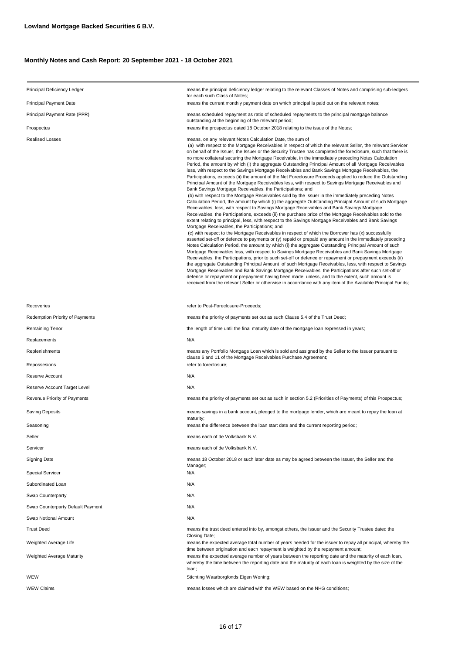| Principal Deficiency Ledger       | means the principal deficiency ledger relating to the relevant Classes of Notes and comprising sub-ledgers<br>for each such Class of Notes;                                                                                                                                                                                                                                                                                                                                                                                                                                                                                                                                                                                                                                                                                                                                                                                                                                                                                                                                                                                                                                                                                                                                                                                                                                                                                                                                                                                                                                                                                                                                                                                                                                                                                                                                                                                                                                                                                                                                                                                                                                                                                                                                                                                                                                                                                                                           |  |  |  |  |
|-----------------------------------|-----------------------------------------------------------------------------------------------------------------------------------------------------------------------------------------------------------------------------------------------------------------------------------------------------------------------------------------------------------------------------------------------------------------------------------------------------------------------------------------------------------------------------------------------------------------------------------------------------------------------------------------------------------------------------------------------------------------------------------------------------------------------------------------------------------------------------------------------------------------------------------------------------------------------------------------------------------------------------------------------------------------------------------------------------------------------------------------------------------------------------------------------------------------------------------------------------------------------------------------------------------------------------------------------------------------------------------------------------------------------------------------------------------------------------------------------------------------------------------------------------------------------------------------------------------------------------------------------------------------------------------------------------------------------------------------------------------------------------------------------------------------------------------------------------------------------------------------------------------------------------------------------------------------------------------------------------------------------------------------------------------------------------------------------------------------------------------------------------------------------------------------------------------------------------------------------------------------------------------------------------------------------------------------------------------------------------------------------------------------------------------------------------------------------------------------------------------------------|--|--|--|--|
| Principal Payment Date            | means the current monthly payment date on which principal is paid out on the relevant notes;                                                                                                                                                                                                                                                                                                                                                                                                                                                                                                                                                                                                                                                                                                                                                                                                                                                                                                                                                                                                                                                                                                                                                                                                                                                                                                                                                                                                                                                                                                                                                                                                                                                                                                                                                                                                                                                                                                                                                                                                                                                                                                                                                                                                                                                                                                                                                                          |  |  |  |  |
| Principal Payment Rate (PPR)      | means scheduled repayment as ratio of scheduled repayments to the principal mortgage balance<br>outstanding at the beginning of the relevant period;                                                                                                                                                                                                                                                                                                                                                                                                                                                                                                                                                                                                                                                                                                                                                                                                                                                                                                                                                                                                                                                                                                                                                                                                                                                                                                                                                                                                                                                                                                                                                                                                                                                                                                                                                                                                                                                                                                                                                                                                                                                                                                                                                                                                                                                                                                                  |  |  |  |  |
| Prospectus                        | means the prospectus dated 18 October 2018 relating to the issue of the Notes;                                                                                                                                                                                                                                                                                                                                                                                                                                                                                                                                                                                                                                                                                                                                                                                                                                                                                                                                                                                                                                                                                                                                                                                                                                                                                                                                                                                                                                                                                                                                                                                                                                                                                                                                                                                                                                                                                                                                                                                                                                                                                                                                                                                                                                                                                                                                                                                        |  |  |  |  |
| <b>Realised Losses</b>            | means, on any relevant Notes Calculation Date, the sum of<br>(a) with respect to the Mortgage Receivables in respect of which the relevant Seller, the relevant Servicer<br>on behalf of the Issuer, the Issuer or the Security Trustee has completed the foreclosure, such that there is<br>no more collateral securing the Mortgage Receivable, in the immediately preceding Notes Calculation<br>Period, the amount by which (i) the aggregate Outstanding Principal Amount of all Mortgage Receivables<br>less, with respect to the Savings Mortgage Receivables and Bank Savings Mortgage Receivables, the<br>Participations, exceeds (ii) the amount of the Net Foreclosure Proceeds applied to reduce the Outstanding<br>Principal Amount of the Mortgage Receivables less, with respect to Savings Mortgage Receivables and<br>Bank Savings Mortgage Receivables, the Participations; and<br>(b) with respect to the Mortgage Receivables sold by the Issuer in the immediately preceding Notes<br>Calculation Period, the amount by which (i) the aggregate Outstanding Principal Amount of such Mortgage<br>Receivables, less, with respect to Savings Mortgage Receivables and Bank Savings Mortgage<br>Receivables, the Participations, exceeds (ii) the purchase price of the Mortgage Receivables sold to the<br>extent relating to principal, less, with respect to the Savings Mortgage Receivables and Bank Savings<br>Mortgage Receivables, the Participations; and<br>(c) with respect to the Mortgage Receivables in respect of which the Borrower has (x) successfully<br>asserted set-off or defence to payments or (y) repaid or prepaid any amount in the immediately preceding<br>Notes Calculation Period, the amount by which (i) the aggregate Outstanding Principal Amount of such<br>Mortgage Receivables less, with respect to Savings Mortgage Receivables and Bank Savings Mortgage<br>Receivables, the Participations, prior to such set-off or defence or repayment or prepayment exceeds (ii)<br>the aggregate Outstanding Principal Amount of such Mortgage Receivables, less, with respect to Savings<br>Mortgage Receivables and Bank Savings Mortgage Receivables, the Participations after such set-off or<br>defence or repayment or prepayment having been made, unless, and to the extent, such amount is<br>received from the relevant Seller or otherwise in accordance with any item of the Available Principal Funds; |  |  |  |  |
| Recoveries                        | refer to Post-Foreclosure-Proceeds;                                                                                                                                                                                                                                                                                                                                                                                                                                                                                                                                                                                                                                                                                                                                                                                                                                                                                                                                                                                                                                                                                                                                                                                                                                                                                                                                                                                                                                                                                                                                                                                                                                                                                                                                                                                                                                                                                                                                                                                                                                                                                                                                                                                                                                                                                                                                                                                                                                   |  |  |  |  |
| Redemption Priority of Payments   | means the priority of payments set out as such Clause 5.4 of the Trust Deed;                                                                                                                                                                                                                                                                                                                                                                                                                                                                                                                                                                                                                                                                                                                                                                                                                                                                                                                                                                                                                                                                                                                                                                                                                                                                                                                                                                                                                                                                                                                                                                                                                                                                                                                                                                                                                                                                                                                                                                                                                                                                                                                                                                                                                                                                                                                                                                                          |  |  |  |  |
| Remaining Tenor                   | the length of time until the final maturity date of the mortgage loan expressed in years;                                                                                                                                                                                                                                                                                                                                                                                                                                                                                                                                                                                                                                                                                                                                                                                                                                                                                                                                                                                                                                                                                                                                                                                                                                                                                                                                                                                                                                                                                                                                                                                                                                                                                                                                                                                                                                                                                                                                                                                                                                                                                                                                                                                                                                                                                                                                                                             |  |  |  |  |
| Replacements                      | N/A;                                                                                                                                                                                                                                                                                                                                                                                                                                                                                                                                                                                                                                                                                                                                                                                                                                                                                                                                                                                                                                                                                                                                                                                                                                                                                                                                                                                                                                                                                                                                                                                                                                                                                                                                                                                                                                                                                                                                                                                                                                                                                                                                                                                                                                                                                                                                                                                                                                                                  |  |  |  |  |
| Replenishments                    | means any Portfolio Mortgage Loan which is sold and assigned by the Seller to the Issuer pursuant to                                                                                                                                                                                                                                                                                                                                                                                                                                                                                                                                                                                                                                                                                                                                                                                                                                                                                                                                                                                                                                                                                                                                                                                                                                                                                                                                                                                                                                                                                                                                                                                                                                                                                                                                                                                                                                                                                                                                                                                                                                                                                                                                                                                                                                                                                                                                                                  |  |  |  |  |
| Repossesions                      | clause 6 and 11 of the Mortgage Receivables Purchase Agreement;<br>refer to foreclosure;                                                                                                                                                                                                                                                                                                                                                                                                                                                                                                                                                                                                                                                                                                                                                                                                                                                                                                                                                                                                                                                                                                                                                                                                                                                                                                                                                                                                                                                                                                                                                                                                                                                                                                                                                                                                                                                                                                                                                                                                                                                                                                                                                                                                                                                                                                                                                                              |  |  |  |  |
| Reserve Account                   | N/A;                                                                                                                                                                                                                                                                                                                                                                                                                                                                                                                                                                                                                                                                                                                                                                                                                                                                                                                                                                                                                                                                                                                                                                                                                                                                                                                                                                                                                                                                                                                                                                                                                                                                                                                                                                                                                                                                                                                                                                                                                                                                                                                                                                                                                                                                                                                                                                                                                                                                  |  |  |  |  |
| Reserve Account Target Level      | $N/A$ ;                                                                                                                                                                                                                                                                                                                                                                                                                                                                                                                                                                                                                                                                                                                                                                                                                                                                                                                                                                                                                                                                                                                                                                                                                                                                                                                                                                                                                                                                                                                                                                                                                                                                                                                                                                                                                                                                                                                                                                                                                                                                                                                                                                                                                                                                                                                                                                                                                                                               |  |  |  |  |
| Revenue Priority of Payments      | means the priority of payments set out as such in section 5.2 (Priorities of Payments) of this Prospectus;                                                                                                                                                                                                                                                                                                                                                                                                                                                                                                                                                                                                                                                                                                                                                                                                                                                                                                                                                                                                                                                                                                                                                                                                                                                                                                                                                                                                                                                                                                                                                                                                                                                                                                                                                                                                                                                                                                                                                                                                                                                                                                                                                                                                                                                                                                                                                            |  |  |  |  |
| <b>Saving Deposits</b>            | means savings in a bank account, pledged to the mortgage lender, which are meant to repay the loan at<br>maturity:                                                                                                                                                                                                                                                                                                                                                                                                                                                                                                                                                                                                                                                                                                                                                                                                                                                                                                                                                                                                                                                                                                                                                                                                                                                                                                                                                                                                                                                                                                                                                                                                                                                                                                                                                                                                                                                                                                                                                                                                                                                                                                                                                                                                                                                                                                                                                    |  |  |  |  |
| Seasoning                         | means the difference between the loan start date and the current reporting period;                                                                                                                                                                                                                                                                                                                                                                                                                                                                                                                                                                                                                                                                                                                                                                                                                                                                                                                                                                                                                                                                                                                                                                                                                                                                                                                                                                                                                                                                                                                                                                                                                                                                                                                                                                                                                                                                                                                                                                                                                                                                                                                                                                                                                                                                                                                                                                                    |  |  |  |  |
| Seller                            | means each of de Volksbank N.V.                                                                                                                                                                                                                                                                                                                                                                                                                                                                                                                                                                                                                                                                                                                                                                                                                                                                                                                                                                                                                                                                                                                                                                                                                                                                                                                                                                                                                                                                                                                                                                                                                                                                                                                                                                                                                                                                                                                                                                                                                                                                                                                                                                                                                                                                                                                                                                                                                                       |  |  |  |  |
| Servicer                          | means each of de Volksbank N.V.                                                                                                                                                                                                                                                                                                                                                                                                                                                                                                                                                                                                                                                                                                                                                                                                                                                                                                                                                                                                                                                                                                                                                                                                                                                                                                                                                                                                                                                                                                                                                                                                                                                                                                                                                                                                                                                                                                                                                                                                                                                                                                                                                                                                                                                                                                                                                                                                                                       |  |  |  |  |
| <b>Signing Date</b>               | means 18 October 2018 or such later date as may be agreed between the Issuer, the Seller and the<br>Manager;                                                                                                                                                                                                                                                                                                                                                                                                                                                                                                                                                                                                                                                                                                                                                                                                                                                                                                                                                                                                                                                                                                                                                                                                                                                                                                                                                                                                                                                                                                                                                                                                                                                                                                                                                                                                                                                                                                                                                                                                                                                                                                                                                                                                                                                                                                                                                          |  |  |  |  |
| <b>Special Servicer</b>           | N/A;                                                                                                                                                                                                                                                                                                                                                                                                                                                                                                                                                                                                                                                                                                                                                                                                                                                                                                                                                                                                                                                                                                                                                                                                                                                                                                                                                                                                                                                                                                                                                                                                                                                                                                                                                                                                                                                                                                                                                                                                                                                                                                                                                                                                                                                                                                                                                                                                                                                                  |  |  |  |  |
| Subordinated Loan                 | N/A;                                                                                                                                                                                                                                                                                                                                                                                                                                                                                                                                                                                                                                                                                                                                                                                                                                                                                                                                                                                                                                                                                                                                                                                                                                                                                                                                                                                                                                                                                                                                                                                                                                                                                                                                                                                                                                                                                                                                                                                                                                                                                                                                                                                                                                                                                                                                                                                                                                                                  |  |  |  |  |
| Swap Counterparty                 | $N/A$ ;                                                                                                                                                                                                                                                                                                                                                                                                                                                                                                                                                                                                                                                                                                                                                                                                                                                                                                                                                                                                                                                                                                                                                                                                                                                                                                                                                                                                                                                                                                                                                                                                                                                                                                                                                                                                                                                                                                                                                                                                                                                                                                                                                                                                                                                                                                                                                                                                                                                               |  |  |  |  |
| Swap Counterparty Default Payment | N/A;                                                                                                                                                                                                                                                                                                                                                                                                                                                                                                                                                                                                                                                                                                                                                                                                                                                                                                                                                                                                                                                                                                                                                                                                                                                                                                                                                                                                                                                                                                                                                                                                                                                                                                                                                                                                                                                                                                                                                                                                                                                                                                                                                                                                                                                                                                                                                                                                                                                                  |  |  |  |  |
| Swap Notional Amount              | N/A;                                                                                                                                                                                                                                                                                                                                                                                                                                                                                                                                                                                                                                                                                                                                                                                                                                                                                                                                                                                                                                                                                                                                                                                                                                                                                                                                                                                                                                                                                                                                                                                                                                                                                                                                                                                                                                                                                                                                                                                                                                                                                                                                                                                                                                                                                                                                                                                                                                                                  |  |  |  |  |
| <b>Trust Deed</b>                 | means the trust deed entered into by, amongst others, the Issuer and the Security Trustee dated the<br>Closing Date;                                                                                                                                                                                                                                                                                                                                                                                                                                                                                                                                                                                                                                                                                                                                                                                                                                                                                                                                                                                                                                                                                                                                                                                                                                                                                                                                                                                                                                                                                                                                                                                                                                                                                                                                                                                                                                                                                                                                                                                                                                                                                                                                                                                                                                                                                                                                                  |  |  |  |  |
| Weighted Average Life             | means the expected average total number of years needed for the issuer to repay all principal, whereby the<br>time between origination and each repayment is weighted by the repayment amount;<br>means the expected average number of years between the reporting date and the maturity of each loan,<br>whereby the time between the reporting date and the maturity of each loan is weighted by the size of the<br>loan;                                                                                                                                                                                                                                                                                                                                                                                                                                                                                                                                                                                                                                                                                                                                                                                                                                                                                                                                                                                                                                                                                                                                                                                                                                                                                                                                                                                                                                                                                                                                                                                                                                                                                                                                                                                                                                                                                                                                                                                                                                           |  |  |  |  |
| Weighted Average Maturity         |                                                                                                                                                                                                                                                                                                                                                                                                                                                                                                                                                                                                                                                                                                                                                                                                                                                                                                                                                                                                                                                                                                                                                                                                                                                                                                                                                                                                                                                                                                                                                                                                                                                                                                                                                                                                                                                                                                                                                                                                                                                                                                                                                                                                                                                                                                                                                                                                                                                                       |  |  |  |  |
| WEW                               | Stichting Waarborgfonds Eigen Woning;                                                                                                                                                                                                                                                                                                                                                                                                                                                                                                                                                                                                                                                                                                                                                                                                                                                                                                                                                                                                                                                                                                                                                                                                                                                                                                                                                                                                                                                                                                                                                                                                                                                                                                                                                                                                                                                                                                                                                                                                                                                                                                                                                                                                                                                                                                                                                                                                                                 |  |  |  |  |
| WEW Claims                        | means losses which are claimed with the WEW based on the NHG conditions;                                                                                                                                                                                                                                                                                                                                                                                                                                                                                                                                                                                                                                                                                                                                                                                                                                                                                                                                                                                                                                                                                                                                                                                                                                                                                                                                                                                                                                                                                                                                                                                                                                                                                                                                                                                                                                                                                                                                                                                                                                                                                                                                                                                                                                                                                                                                                                                              |  |  |  |  |